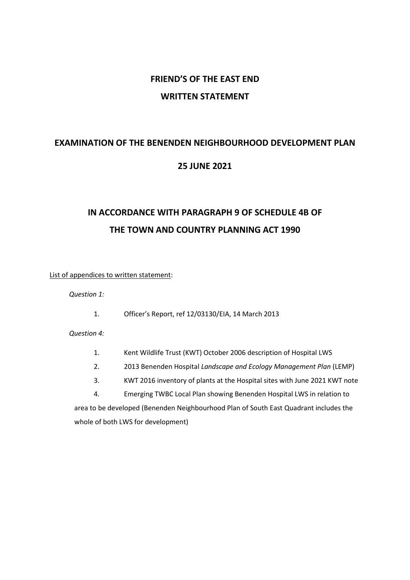## **FRIEND'S OF THE EAST END WRITTEN STATEMENT**

## **EXAMINATION OF THE BENENDEN NEIGHBOURHOOD DEVELOPMENT PLAN**

### **25 JUNE 2021**

# **IN ACCORDANCE WITH PARAGRAPH 9 OF SCHEDULE 4B OF THE TOWN AND COUNTRY PLANNING ACT 1990**

List of appendices to written statement:

*Question 1:*

1. Officer's Report, ref 12/03130/EIA, 14 March 2013

*Question 4:*

- 1. Kent Wildlife Trust (KWT) October 2006 description of Hospital LWS
- 2. 2013 Benenden Hospital *Landscape and Ecology Management Plan* (LEMP)
- 3. KWT 2016 inventory of plants at the Hospital sites with June 2021 KWT note

4. Emerging TWBC Local Plan showing Benenden Hospital LWS in relation to area to be developed (Benenden Neighbourhood Plan of South East Quadrant includes the whole of both LWS for development)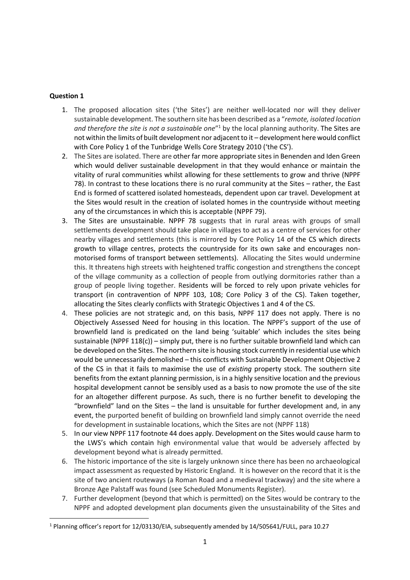- 1. The proposed allocation sites ('the Sites') are neither well-located nor will they deliver sustainable development. The southern site has been described as a "*remote, isolated location*  and therefore the site is not a sustainable one<sup>"1</sup> by the local planning authority. The Sites are not within the limits of built development nor adjacent to it – development here would conflict with Core Policy 1 of the Tunbridge Wells Core Strategy 2010 ('the CS').
- 2. The Sites are isolated. There are other far more appropriate sites in Benenden and Iden Green which would deliver sustainable development in that they would enhance or maintain the vitality of rural communities whilst allowing for these settlements to grow and thrive (NPPF 78). In contrast to these locations there is no rural community at the Sites – rather, the East End is formed of scattered isolated homesteads, dependent upon car travel. Development at the Sites would result in the creation of isolated homes in the countryside without meeting any of the circumstances in which this is acceptable (NPPF 79).
- 3. The Sites are unsustainable. NPPF 78 suggests that in rural areas with groups of small settlements development should take place in villages to act as a centre of services for other nearby villages and settlements (this is mirrored by Core Policy 14 of the CS which directs growth to village centres, protects the countryside for its own sake and encourages nonmotorised forms of transport between settlements). Allocating the Sites would undermine this. It threatens high streets with heightened traffic congestion and strengthens the concept of the village community as a collection of people from outlying dormitories rather than a group of people living together. Residents will be forced to rely upon private vehicles for transport (in contravention of NPPF 103, 108; Core Policy 3 of the CS). Taken together, allocating the Sites clearly conflicts with Strategic Objectives 1 and 4 of the CS.
- 4. These policies are not strategic and, on this basis, NPPF 117 does not apply. There is no Objectively Assessed Need for housing in this location. The NPPF's support of the use of brownfield land is predicated on the land being 'suitable' which includes the sites being sustainable (NPPF  $118(c)$ ) – simply put, there is no further suitable brownfield land which can be developed on the Sites. The northern site is housing stock currently in residential use which would be unnecessarily demolished – this conflicts with Sustainable Development Objective 2 of the CS in that it fails to maximise the use of *existing* property stock. The southern site benefits from the extant planning permission, is in a highly sensitive location and the previous hospital development cannot be sensibly used as a basis to now promote the use of the site for an altogether different purpose. As such, there is no further benefit to developing the "brownfield" land on the Sites – the land is unsuitable for further development and, in any event, the purported benefit of building on brownfield land simply cannot override the need for development in sustainable locations, which the Sites are not (NPPF 118)
- 5. In our view NPPF 117 footnote 44 does apply. Development on the Sites would cause harm to the LWS's which contain high environmental value that would be adversely affected by development beyond what is already permitted.
- 6. The historic importance of the site is largely unknown since there has been no archaeological impact assessment as requested by Historic England. It is however on the record that it is the site of two ancient routeways (a Roman Road and a medieval trackway) and the site where a Bronze Age Palstaff was found (see Scheduled Monuments Register).
- 7. Further development (beyond that which is permitted) on the Sites would be contrary to the NPPF and adopted development plan documents given the unsustainability of the Sites and

<sup>1</sup> Planning officer's report for 12/03130/EIA, subsequently amended by 14/505641/FULL, para 10.27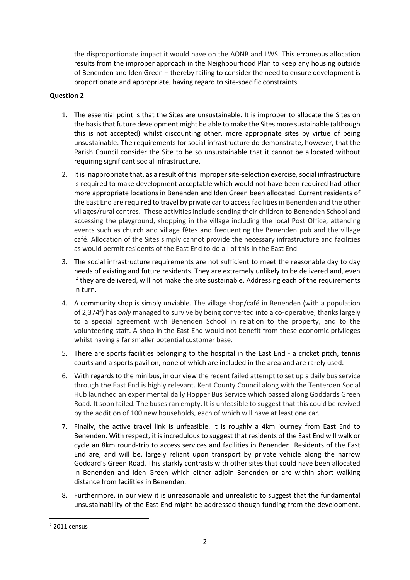the disproportionate impact it would have on the AONB and LWS. This erroneous allocation results from the improper approach in the Neighbourhood Plan to keep any housing outside of Benenden and Iden Green – thereby failing to consider the need to ensure development is proportionate and appropriate, having regard to site-specific constraints.

- 1. The essential point is that the Sites are unsustainable. It is improper to allocate the Sites on the basis that future development might be able to make the Sites more sustainable (although this is not accepted) whilst discounting other, more appropriate sites by virtue of being unsustainable. The requirements for social infrastructure do demonstrate, however, that the Parish Council consider the Site to be so unsustainable that it cannot be allocated without requiring significant social infrastructure.
- 2. It is inappropriate that, as a result of thisimproper site-selection exercise, social infrastructure is required to make development acceptable which would not have been required had other more appropriate locations in Benenden and Iden Green been allocated. Current residents of the East End are required to travel by private car to access facilities in Benenden and the other villages/rural centres. These activities include sending their children to Benenden School and accessing the playground, shopping in the village including the local Post Office, attending events such as church and village fêtes and frequenting the Benenden pub and the village café. Allocation of the Sites simply cannot provide the necessary infrastructure and facilities as would permit residents of the East End to do all of this in the East End.
- 3. The social infrastructure requirements are not sufficient to meet the reasonable day to day needs of existing and future residents. They are extremely unlikely to be delivered and, even if they are delivered, will not make the site sustainable. Addressing each of the requirements in turn.
- 4. A community shop is simply unviable. The village shop/café in Benenden (with a population of 2,374<sup>2</sup>) has *only* managed to survive by being converted into a co-operative, thanks largely to a special agreement with Benenden School in relation to the property, and to the volunteering staff. A shop in the East End would not benefit from these economic privileges whilst having a far smaller potential customer base.
- 5. There are sports facilities belonging to the hospital in the East End a cricket pitch, tennis courts and a sports pavilion, none of which are included in the area and are rarely used.
- 6. With regards to the minibus, in our view the recent failed attempt to set up a daily bus service through the East End is highly relevant. Kent County Council along with the Tenterden Social Hub launched an experimental daily Hopper Bus Service which passed along Goddards Green Road. It soon failed. The buses ran empty. It is unfeasible to suggest that this could be revived by the addition of 100 new households, each of which will have at least one car.
- 7. Finally, the active travel link is unfeasible. It is roughly a 4km journey from East End to Benenden. With respect, it is incredulous to suggest that residents of the East End will walk or cycle an 8km round-trip to access services and facilities in Benenden. Residents of the East End are, and will be, largely reliant upon transport by private vehicle along the narrow Goddard's Green Road. This starkly contrasts with other sites that could have been allocated in Benenden and Iden Green which either adjoin Benenden or are within short walking distance from facilities in Benenden.
- 8. Furthermore, in our view it is unreasonable and unrealistic to suggest that the fundamental unsustainability of the East End might be addressed though funding from the development.

<sup>2</sup> 2011 census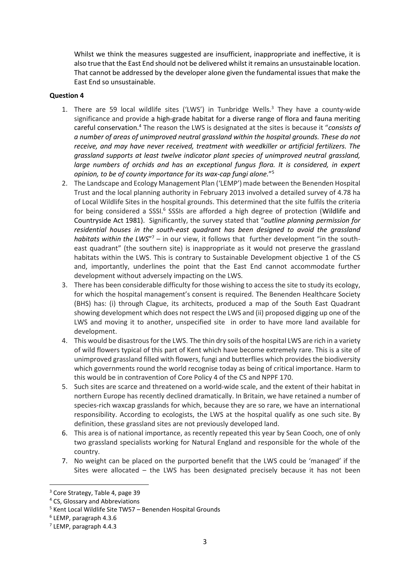Whilst we think the measures suggested are insufficient, inappropriate and ineffective, it is also true that the East End should not be delivered whilst it remains an unsustainable location. That cannot be addressed by the developer alone given the fundamental issues that make the East End so unsustainable.

- 1. There are 59 local wildlife sites ('LWS') in Tunbridge Wells.<sup>3</sup> They have a county-wide significance and provide a high-grade habitat for a diverse range of flora and fauna meriting careful conservation.<sup>4</sup> The reason the LWS is designated at the sites is because it "*consists of a number of areas of unimproved neutral grassland within the hospital grounds. These do not receive, and may have never received, treatment with weedkiller or artificial fertilizers. The grassland supports at least twelve indicator plant species of unimproved neutral grassland,*  large numbers of orchids and has an exceptional fungus flora. It is considered, in expert *opinion, to be of county importance for its wax-cap fungi alone.*" 5
- 2. The Landscape and Ecology Management Plan ('LEMP') made between the Benenden Hospital Trust and the local planning authority in February 2013 involved a detailed survey of 4.78 ha of Local Wildlife Sites in the hospital grounds. This determined that the site fulfils the criteria for being considered a SSSI.<sup>6</sup> SSSIs are afforded a high degree of protection (Wildlife and Countryside Act 1981). Significantly, the survey stated that "*outline planning permission for residential houses in the south-east quadrant has been designed to avoid the grassland*  habitats within the LWS"<sup>7</sup> - in our view, it follows that further development "in the southeast quadrant" (the southern site) is inappropriate as it would not preserve the grassland habitats within the LWS. This is contrary to Sustainable Development objective 1 of the CS and, importantly, underlines the point that the East End cannot accommodate further development without adversely impacting on the LWS.
- 3. There has been considerable difficulty for those wishing to access the site to study its ecology, for which the hospital management's consent is required. The Benenden Healthcare Society (BHS) has: (i) through Clague, its architects, produced a map of the South East Quadrant showing development which does not respect the LWS and (ii) proposed digging up one of the LWS and moving it to another, unspecified site in order to have more land available for development.
- 4. This would be disastrous for the LWS. The thin dry soils of the hospital LWS are rich in a variety of wild flowers typical of this part of Kent which have become extremely rare. This is a site of unimproved grassland filled with flowers, fungi and butterflies which provides the biodiversity which governments round the world recognise today as being of critical importance. Harm to this would be in contravention of Core Policy 4 of the CS and NPPF 170.
- 5. Such sites are scarce and threatened on a world-wide scale, and the extent of their habitat in northern Europe has recently declined dramatically. In Britain, we have retained a number of species-rich waxcap grasslands for which, because they are so rare, we have an international responsibility. According to ecologists, the LWS at the hospital qualify as one such site. By definition, these grassland sites are not previously developed land.
- 6. This area is of national importance, as recently repeated this year by Sean Cooch, one of only two grassland specialists working for Natural England and responsible for the whole of the country.
- 7. No weight can be placed on the purported benefit that the LWS could be 'managed' if the Sites were allocated – the LWS has been designated precisely because it has not been

<sup>3</sup> Core Strategy, Table 4, page 39

<sup>4</sup> CS, Glossary and Abbreviations

<sup>5</sup> Kent Local Wildlife Site TW57 – Benenden Hospital Grounds

<sup>6</sup> LEMP, paragraph 4.3.6

<sup>7</sup> LEMP, paragraph 4.4.3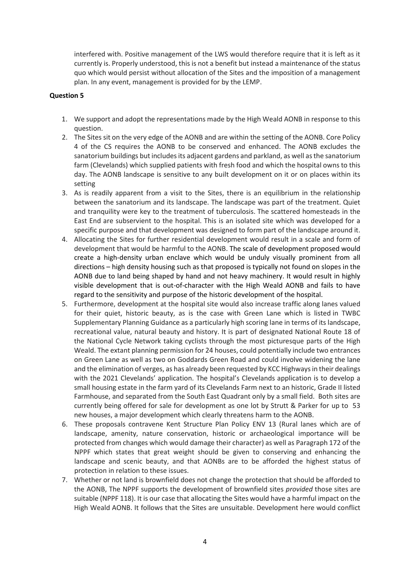interfered with. Positive management of the LWS would therefore require that it is left as it currently is. Properly understood, this is not a benefit but instead a maintenance of the status quo which would persist without allocation of the Sites and the imposition of a management plan. In any event, management is provided for by the LEMP.

- 1. We support and adopt the representations made by the High Weald AONB in response to this question.
- 2. The Sites sit on the very edge of the AONB and are within the setting of the AONB. Core Policy 4 of the CS requires the AONB to be conserved and enhanced. The AONB excludes the sanatorium buildings but includes its adjacent gardens and parkland, as well as the sanatorium farm (Clevelands) which supplied patients with fresh food and which the hospital owns to this day. The AONB landscape is sensitive to any built development on it or on places within its setting
- 3. As is readily apparent from a visit to the Sites, there is an equilibrium in the relationship between the sanatorium and its landscape. The landscape was part of the treatment. Quiet and tranquility were key to the treatment of tuberculosis. The scattered homesteads in the East End are subservient to the hospital. This is an isolated site which was developed for a specific purpose and that development was designed to form part of the landscape around it.
- 4. Allocating the Sites for further residential development would result in a scale and form of development that would be harmful to the AONB. The scale of development proposed would create a high-density urban enclave which would be unduly visually prominent from all directions – high density housing such as that proposed is typically not found on slopes in the AONB due to land being shaped by hand and not heavy machinery. It would result in highly visible development that is out-of-character with the High Weald AONB and fails to have regard to the sensitivity and purpose of the historic development of the hospital.
- 5. Furthermore, development at the hospital site would also increase traffic along lanes valued for their quiet, historic beauty, as is the case with Green Lane which is listed in TWBC Supplementary Planning Guidance as a particularly high scoring lane in terms of its landscape, recreational value, natural beauty and history. It is part of designated National Route 18 of the National Cycle Network taking cyclists through the most picturesque parts of the High Weald. The extant planning permission for 24 houses, could potentially include two entrances on Green Lane as well as two on Goddards Green Road and could involve widening the lane and the elimination of verges, as has already been requested by KCC Highways in their dealings with the 2021 Clevelands' application. The hospital's Clevelands application is to develop a small housing estate in the farm yard of its Clevelands Farm next to an historic, Grade II listed Farmhouse, and separated from the South East Quadrant only by a small field. Both sites are currently being offered for sale for development as one lot by Strutt & Parker for up to 53 new houses, a major development which clearly threatens harm to the AONB.
- 6. These proposals contravene Kent Structure Plan Policy ENV 13 (Rural lanes which are of landscape, amenity, nature conservation, historic or archaeological importance will be protected from changes which would damage their character) as well as Paragraph 172 of the NPPF which states that great weight should be given to conserving and enhancing the landscape and scenic beauty, and that AONBs are to be afforded the highest status of protection in relation to these issues.
- 7. Whether or not land is brownfield does not change the protection that should be afforded to the AONB, The NPPF supports the development of brownfield sites *provided* those sites are suitable (NPPF 118). It is our case that allocating the Sites would have a harmful impact on the High Weald AONB. It follows that the Sites are unsuitable. Development here would conflict